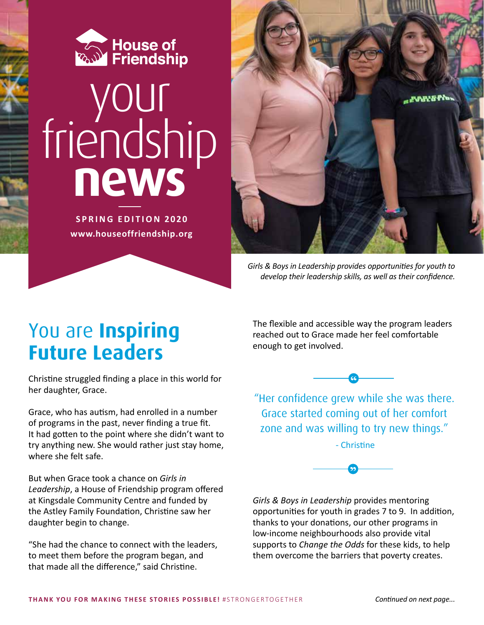

# your friendship **news**

**SPRING EDITION 2020 www.houseoffriendship.org**



*Girls & Boys in Leadership provides opportunities for youth to develop their leadership skills, as well as their confidence.*

## You are **Inspiring Future Leaders**

Christine struggled finding a place in this world for her daughter, Grace.

Grace, who has autism, had enrolled in a number of programs in the past, never finding a true fit. It had gotten to the point where she didn't want to try anything new. She would rather just stay home, where she felt safe.

But when Grace took a chance on *Girls in Leadership*, a House of Friendship program offered at Kingsdale Community Centre and funded by the Astley Family Foundation, Christine saw her daughter begin to change.

"She had the chance to connect with the leaders, to meet them before the program began, and that made all the difference," said Christine.

The flexible and accessible way the program leaders reached out to Grace made her feel comfortable enough to get involved.



"Her confidence grew while she was there. Grace started coming out of her comfort zone and was willing to try new things."

- Christine



*Girls & Boys in Leadership* provides mentoring opportunities for youth in grades 7 to 9. In addition, thanks to your donations, our other programs in low-income neighbourhoods also provide vital supports to *Change the Odds* for these kids, to help them overcome the barriers that poverty creates.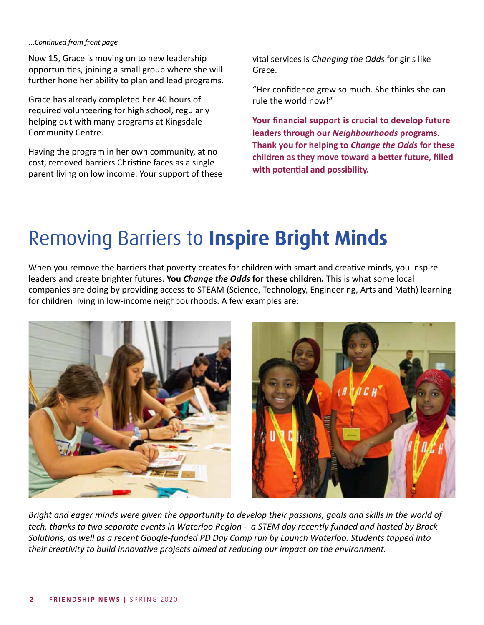#### *...Continued from front page*

Now 15, Grace is moving on to new leadership opportunities, joining a small group where she will further hone her ability to plan and lead programs.

Grace has already completed her 40 hours of required volunteering for high school, regularly helping out with many programs at Kingsdale Community Centre.

Having the program in her own community, at no cost, removed barriers Christine faces as a single parent living on low income. Your support of these vital services is *Changing the Odds* for girls like Grace.

"Her confidence grew so much. She thinks she can rule the world now!"

**Your financial support is crucial to develop future leaders through our** *Neighbourhoods* **programs. Thank you for helping to** *Change the Odds* **for these children as they move toward a better future, filled with potential and possibility.**

# Removing Barriers to **Inspire Bright Minds**

When you remove the barriers that poverty creates for children with smart and creative minds, you inspire leaders and create brighter futures. **You** *Change the Odds* **for these children.** This is what some local companies are doing by providing access to STEAM (Science, Technology, Engineering, Arts and Math) learning for children living in low-income neighbourhoods. A few examples are:



*Bright and eager minds were given the opportunity to develop their passions, goals and skills in the world of tech, thanks to two separate events in Waterloo Region - a STEM day recently funded and hosted by Brock Solutions, as well as a recent Google-funded PD Day Camp run by Launch Waterloo. Students tapped into their creativity to build innovative projects aimed at reducing our impact on the environment.*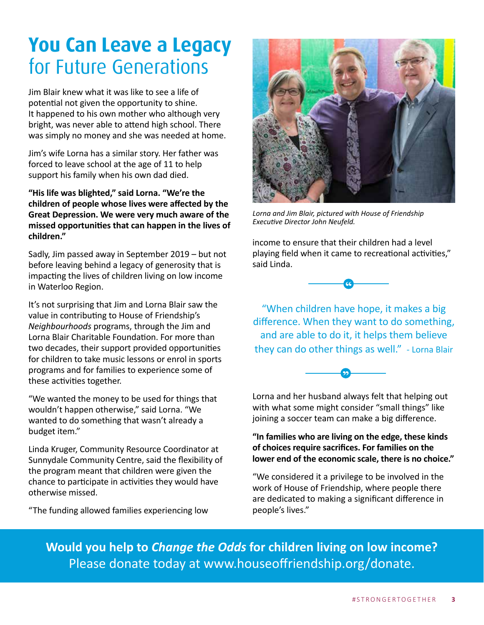# **You Can Leave a Legacy** for Future Generations

Jim Blair knew what it was like to see a life of potential not given the opportunity to shine. It happened to his own mother who although very bright, was never able to attend high school. There was simply no money and she was needed at home.

Jim's wife Lorna has a similar story. Her father was forced to leave school at the age of 11 to help support his family when his own dad died.

**"His life was blighted," said Lorna. "We're the children of people whose lives were affected by the Great Depression. We were very much aware of the missed opportunities that can happen in the lives of children."**

Sadly, Jim passed away in September 2019 – but not before leaving behind a legacy of generosity that is impacting the lives of children living on low income in Waterloo Region.

It's not surprising that Jim and Lorna Blair saw the value in contributing to House of Friendship's *Neighbourhoods* programs, through the Jim and Lorna Blair Charitable Foundation. For more than two decades, their support provided opportunities for children to take music lessons or enrol in sports programs and for families to experience some of these activities together.

"We wanted the money to be used for things that wouldn't happen otherwise," said Lorna. "We wanted to do something that wasn't already a budget item."

Linda Kruger, Community Resource Coordinator at Sunnydale Community Centre, said the flexibility of the program meant that children were given the chance to participate in activities they would have otherwise missed.

"The funding allowed families experiencing low



*Lorna and Jim Blair, pictured with House of Friendship Executive Director John Neufeld.*

income to ensure that their children had a level playing field when it came to recreational activities," said Linda.



"When children have hope, it makes a big difference. When they want to do something, and are able to do it, it helps them believe they can do other things as well." - Lorna Blair



Lorna and her husband always felt that helping out with what some might consider "small things" like joining a soccer team can make a big difference.

#### **"In families who are living on the edge, these kinds of choices require sacrifices. For families on the lower end of the economic scale, there is no choice."**

"We considered it a privilege to be involved in the work of House of Friendship, where people there are dedicated to making a significant difference in people's lives."

**Would you help to** *Change the Odds* **for children living on low income?** Please donate today at www.houseoffriendship.org/donate.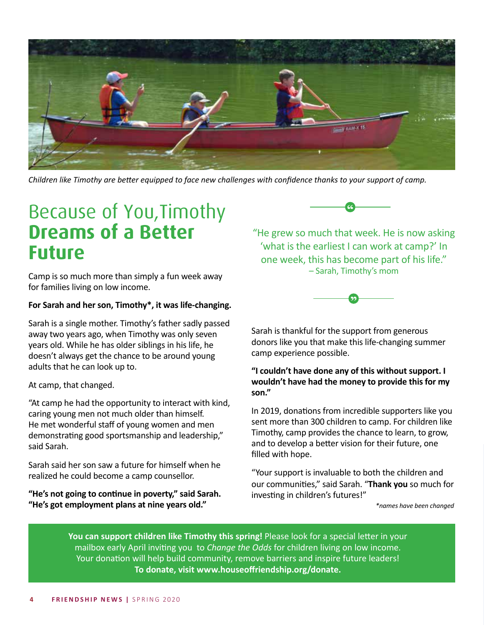

*Children like Timothy are better equipped to face new challenges with confidence thanks to your support of camp.*

## Because of You,Timothy **Dreams of a Better Future**

Camp is so much more than simply a fun week away for families living on low income.

#### **For Sarah and her son, Timothy\*, it was life-changing.**

Sarah is a single mother. Timothy's father sadly passed away two years ago, when Timothy was only seven years old. While he has older siblings in his life, he doesn't always get the chance to be around young adults that he can look up to.

At camp, that changed.

"At camp he had the opportunity to interact with kind, caring young men not much older than himself. He met wonderful staff of young women and men demonstrating good sportsmanship and leadership," said Sarah.

Sarah said her son saw a future for himself when he realized he could become a camp counsellor.

**"He's not going to continue in poverty," said Sarah. "He's got employment plans at nine years old."**



"He grew so much that week. He is now asking 'what is the earliest I can work at camp?' In one week, this has become part of his life." – Sarah, Timothy's mom



Sarah is thankful for the support from generous donors like you that make this life-changing summer camp experience possible.

#### **"I couldn't have done any of this without support. I wouldn't have had the money to provide this for my son."**

In 2019, donations from incredible supporters like you sent more than 300 children to camp. For children like Timothy, camp provides the chance to learn, to grow, and to develop a better vision for their future, one filled with hope.

"Your support is invaluable to both the children and our communities," said Sarah. "**Thank you** so much for investing in children's futures!"

*\*names have been changed* 

**You can support children like Timothy this spring!** Please look for a special letter in your mailbox early April inviting you to *Change the Odds* for children living on low income. Your donation will help build community, remove barriers and inspire future leaders! **To donate, visit www.houseoffriendship.org/donate.**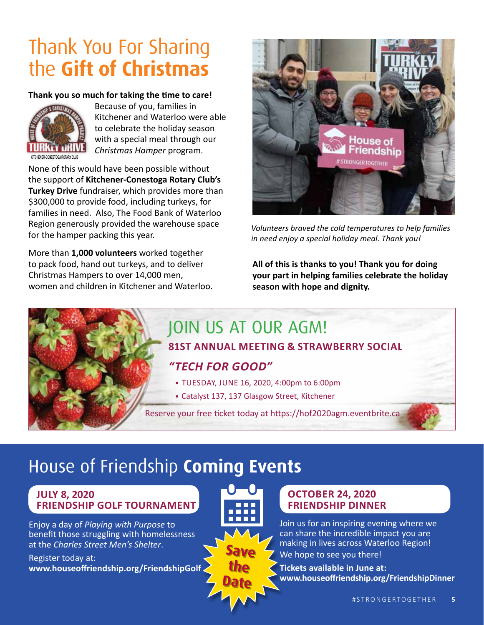# Thank You For Sharing the **Gift of Christmas**

#### **Thank you so much for taking the time to care!**



Because of you, families in Kitchener and Waterloo were able to celebrate the holiday season with a special meal through our *Christmas Hamper* program.

None of this would have been possible without the support of **Kitchener-Conestoga Rotary Club's Turkey Drive** fundraiser, which provides more than \$300,000 to provide food, including turkeys, for families in need. Also, The Food Bank of Waterloo Region generously provided the warehouse space for the hamper packing this year.

More than **1,000 volunteers** worked together to pack food, hand out turkeys, and to deliver Christmas Hampers to over 14,000 men, women and children in Kitchener and Waterloo.



*Volunteers braved the cold temperatures to help families in need enjoy a special holiday meal. Thank you!*

**All of this is thanks to you! Thank you for doing your part in helping families celebrate the holiday season with hope and dignity.**

## JOIN US AT OUR AGM!

#### **81ST ANNUAL MEETING & STRAWBERRY SOCIAL**

#### *"TECH FOR GOOD"*

- TUESDAY, JUNE 16, 2020, 4:00pm to 6:00pm
- Catalyst 137, 137 Glasgow Street, Kitchener

Reserve your free ticket today at https://hof2020agm.eventbrite.ca

## House of Friendship **Coming Events**

#### **JULY 8, 2020 FRIENDSHIP GOLF TOURNAMENT**

Enjoy a day of *Playing with Purpose* to benefit those struggling with homelessness at the *Charles Street Men's Shelter*.

Register today at: **www.houseoffriendship.org/FriendshipGolf**



#### **OCTOBER 24, 2020 FRIENDSHIP DINNER**

Join us for an inspiring evening where we can share the incredible impact you are making in lives across Waterloo Region! We hope to see you there!

**Tickets available in June at: www.houseoffriendship.org/FriendshipDinner**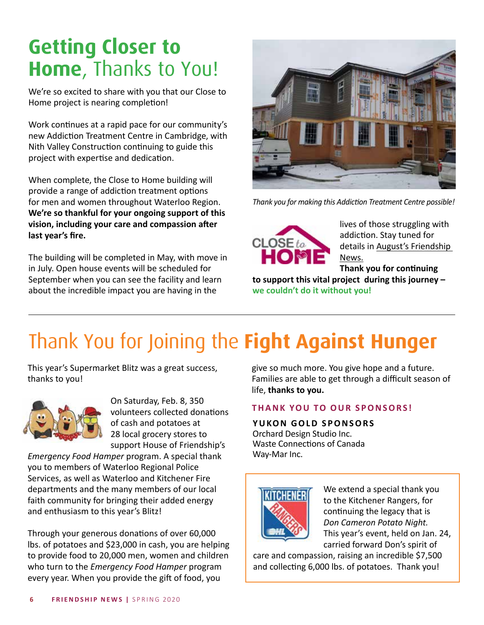# **Getting Closer to Home**, Thanks to You!

We're so excited to share with you that our Close to Home project is nearing completion!

Work continues at a rapid pace for our community's new Addiction Treatment Centre in Cambridge, with Nith Valley Construction continuing to guide this project with expertise and dedication.

When complete, the Close to Home building will provide a range of addiction treatment options for men and women throughout Waterloo Region. **We're so thankful for your ongoing support of this vision, including your care and compassion after last year's fire.**

The building will be completed in May, with move in in July. Open house events will be scheduled for September when you can see the facility and learn about the incredible impact you are having in the



*Thank you for making this Addiction Treatment Centre possible!*



lives of those struggling with addiction. Stay tuned for details in August's Friendship News.

**Thank you for continuing** 

**to support this vital project during this journey – we couldn't do it without you!**

# Thank You for Joining the **Fight Against Hunger**

This year's Supermarket Blitz was a great success, thanks to you!



On Saturday, Feb. 8, 350 volunteers collected donations of cash and potatoes at 28 local grocery stores to support House of Friendship's

*Emergency Food Hamper* program. A special thank you to members of Waterloo Regional Police Services, as well as Waterloo and Kitchener Fire departments and the many members of our local faith community for bringing their added energy and enthusiasm to this year's Blitz!

Through your generous donations of over 60,000 lbs. of potatoes and \$23,000 in cash, you are helping to provide food to 20,000 men, women and children who turn to the *Emergency Food Hamper* program every year. When you provide the gift of food, you

give so much more. You give hope and a future. Families are able to get through a difficult season of life, **thanks to you.**

#### **THANK YOU TO OUR SPONSORS!**

#### **YUKON GOLD SPONSORS**

Orchard Design Studio Inc. Waste Connections of Canada Way-Mar Inc.



We extend a special thank you to the Kitchener Rangers, for continuing the legacy that is *Don Cameron Potato Night.*  This year's event, held on Jan. 24, carried forward Don's spirit of

care and compassion, raising an incredible \$7,500 and collecting 6,000 lbs. of potatoes. Thank you!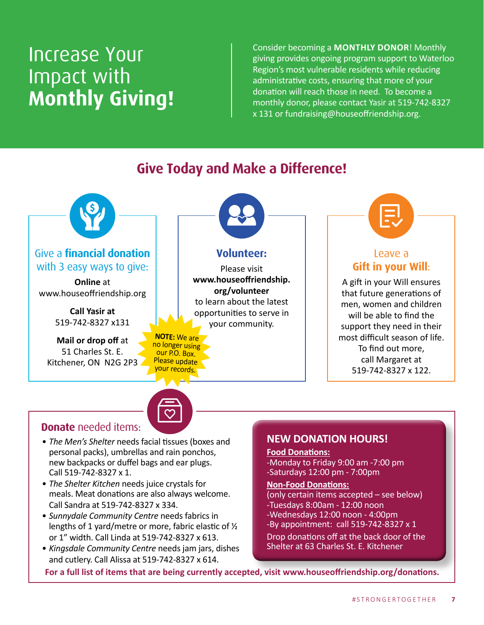## Increase Your Impact with **Monthly Giving!**

Consider becoming a **MONTHLY DONOR**! Monthly giving provides ongoing program support to Waterloo Region's most vulnerable residents while reducing administrative costs, ensuring that more of your donation will reach those in need. To become a monthly donor, please contact Yasir at 519-742-8327 x 131 or fundraising@houseoffriendship.org.



#### **Give Today and Make a Difference!**

#### **Donate** needed items:

- *• The Men's Shelter* needs facial tissues (boxes and personal packs), umbrellas and rain ponchos, new backpacks or duffel bags and ear plugs. Call 519-742-8327 x 1.
- *• The Shelter Kitchen* needs juice crystals for meals. Meat donations are also always welcome. Call Sandra at 519-742-8327 x 334.
- *• Sunnydale Community Centre* needs fabrics in lengths of 1 yard/metre or more, fabric elastic of ½ or 1" width. Call Linda at 519-742-8327 x 613.
- *• Kingsdale Community Centre* needs jam jars, dishes and cutlery. Call Alissa at 519-742-8327 x 614.

#### **NEW DONATION HOURS!**

#### **Food Donations:**

-Monday to Friday 9:00 am -7:00 pm -Saturdays 12:00 pm - 7:00pm

#### **Non-Food Donations:**

(only certain items accepted – see below) -Tuesdays 8:00am - 12:00 noon -Wednesdays 12:00 noon - 4:00pm -By appointment: call 519-742-8327 x 1

Drop donations off at the back door of the Shelter at 63 Charles St. E. Kitchener

**For a full list of items that are being currently accepted, visit www.houseoffriendship.org/donations.**